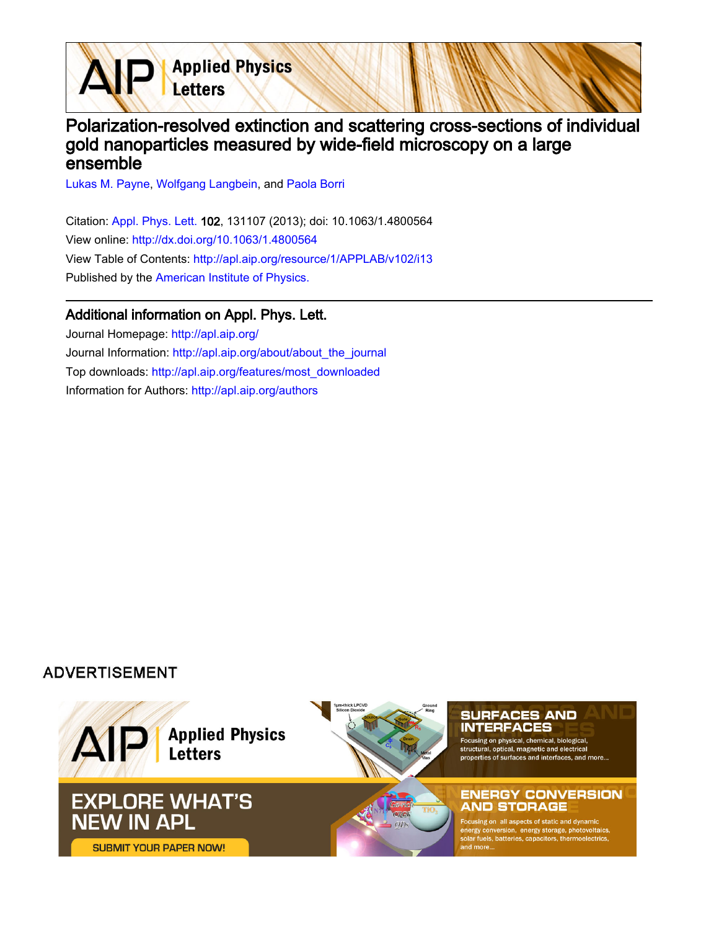

## Polarization-resolved extinction and scattering cross-sections of individual gold nanoparticles measured by wide-field microscopy on a large ensemble

[Lukas M. Payne,](http://apl.aip.org/search?sortby=newestdate&q=&searchzone=2&searchtype=searchin&faceted=faceted&key=AIP_ALL&possible1=Lukas M. Payne&possible1zone=author&alias=&displayid=AIP&ver=pdfcov) [Wolfgang Langbein](http://apl.aip.org/search?sortby=newestdate&q=&searchzone=2&searchtype=searchin&faceted=faceted&key=AIP_ALL&possible1=Wolfgang Langbein&possible1zone=author&alias=&displayid=AIP&ver=pdfcov), and [Paola Borri](http://apl.aip.org/search?sortby=newestdate&q=&searchzone=2&searchtype=searchin&faceted=faceted&key=AIP_ALL&possible1=Paola Borri&possible1zone=author&alias=&displayid=AIP&ver=pdfcov)

Citation: [Appl. Phys. Lett. 1](http://apl.aip.org/?ver=pdfcov)02, 131107 (2013); doi: 10.1063/1.4800564 View online: [http://dx.doi.org/10.1063/1.4800564](http://link.aip.org/link/doi/10.1063/1.4800564?ver=pdfcov) View Table of Contents: [http://apl.aip.org/resource/1/APPLAB/v102/i13](http://apl.aip.org/resource/1/APPLAB/v102/i13?ver=pdfcov) Published by the [American Institute of Physics.](http://www.aip.org/?ver=pdfcov)

## Additional information on Appl. Phys. Lett.

Journal Homepage: [http://apl.aip.org/](http://apl.aip.org/?ver=pdfcov) Journal Information: [http://apl.aip.org/about/about\\_the\\_journal](http://apl.aip.org/about/about_the_journal?ver=pdfcov) Top downloads: [http://apl.aip.org/features/most\\_downloaded](http://apl.aip.org/features/most_downloaded?ver=pdfcov) Information for Authors: [http://apl.aip.org/authors](http://apl.aip.org/authors?ver=pdfcov)

## **ADVERTISEMENT**

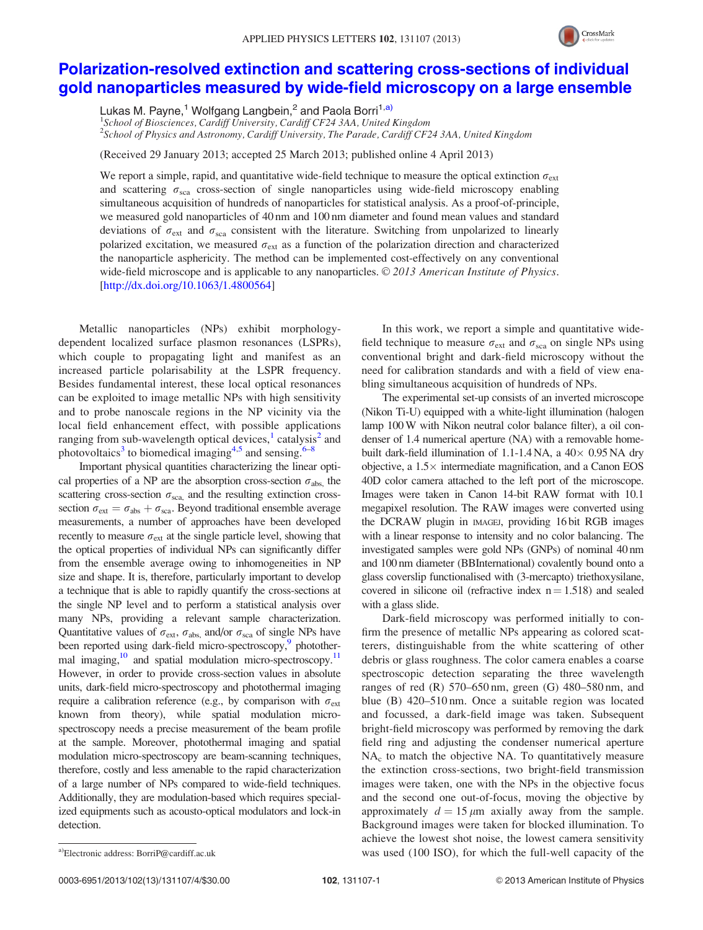

## [Polarization-resolved extinction and scattering cross-sections of individual](http://dx.doi.org/10.1063/1.4800564) [gold nanoparticles measured by wide-field microscopy on a large ensemble](http://dx.doi.org/10.1063/1.4800564)

Lukas M. Payne,<sup>1</sup> Wolfgang Langbein,<sup>2</sup> and Paola Borri<sup>1,a)</sup>

<sup>1</sup>School of Biosciences, Cardiff University, Cardiff CF24 3AA, United Kingdom <sup>2</sup>School of Physics and Astronomy, Cardiff University, The Parade, Cardiff CF24 3AA, United Kingdom

(Received 29 January 2013; accepted 25 March 2013; published online 4 April 2013)

We report a simple, rapid, and quantitative wide-field technique to measure the optical extinction  $\sigma_{\text{ext}}$ and scattering  $\sigma_{\rm sca}$  cross-section of single nanoparticles using wide-field microscopy enabling simultaneous acquisition of hundreds of nanoparticles for statistical analysis. As a proof-of-principle, we measured gold nanoparticles of 40 nm and 100 nm diameter and found mean values and standard deviations of  $\sigma_{\text{ext}}$  and  $\sigma_{\text{sca}}$  consistent with the literature. Switching from unpolarized to linearly polarized excitation, we measured  $\sigma_{ext}$  as a function of the polarization direction and characterized the nanoparticle asphericity. The method can be implemented cost-effectively on any conventional wide-field microscope and is applicable to any nanoparticles.  $\odot$  2013 American Institute of Physics. [\[http://dx.doi.org/10.1063/1.4800564](http://dx.doi.org/10.1063/1.4800564)]

Metallic nanoparticles (NPs) exhibit morphologydependent localized surface plasmon resonances (LSPRs), which couple to propagating light and manifest as an increased particle polarisability at the LSPR frequency. Besides fundamental interest, these local optical resonances can be exploited to image metallic NPs with high sensitivity and to probe nanoscale regions in the NP vicinity via the local field enhancement effect, with possible applications ranging from sub-wavelength optical devices, $\frac{1}{2}$  $\frac{1}{2}$  $\frac{1}{2}$  $\frac{1}{2}$  $\frac{1}{2}$  catalysis<sup>2</sup> and photovoltaics<sup>[3](#page-4-0)</sup> to biomedical imaging<sup>[4,5](#page-4-0)</sup> and sensing.<sup>[6](#page-4-0)–[8](#page-4-0)</sup>

Important physical quantities characterizing the linear optical properties of a NP are the absorption cross-section  $\sigma_{\text{abs}}$ , the scattering cross-section  $\sigma_{\text{sca}}$  and the resulting extinction crosssection  $\sigma_{ext} = \sigma_{abs} + \sigma_{sea}$ . Beyond traditional ensemble average measurements, a number of approaches have been developed recently to measure  $\sigma_{ext}$  at the single particle level, showing that the optical properties of individual NPs can significantly differ from the ensemble average owing to inhomogeneities in NP size and shape. It is, therefore, particularly important to develop a technique that is able to rapidly quantify the cross-sections at the single NP level and to perform a statistical analysis over many NPs, providing a relevant sample characterization. Quantitative values of  $\sigma_{ext}$ ,  $\sigma_{abs}$ , and/or  $\sigma_{sca}$  of single NPs have been reported using dark-field micro-spectroscopy,<sup>9</sup> photothermal imaging, $\frac{10}{10}$  and spatial modulation micro-spectroscopy.<sup>11</sup> However, in order to provide cross-section values in absolute units, dark-field micro-spectroscopy and photothermal imaging require a calibration reference (e.g., by comparison with  $\sigma_{ext}$ known from theory), while spatial modulation microspectroscopy needs a precise measurement of the beam profile at the sample. Moreover, photothermal imaging and spatial modulation micro-spectroscopy are beam-scanning techniques, therefore, costly and less amenable to the rapid characterization of a large number of NPs compared to wide-field techniques. Additionally, they are modulation-based which requires specialized equipments such as acousto-optical modulators and lock-in detection.

In this work, we report a simple and quantitative widefield technique to measure  $\sigma_{ext}$  and  $\sigma_{sca}$  on single NPs using conventional bright and dark-field microscopy without the need for calibration standards and with a field of view enabling simultaneous acquisition of hundreds of NPs.

The experimental set-up consists of an inverted microscope (Nikon Ti-U) equipped with a white-light illumination (halogen lamp 100W with Nikon neutral color balance filter), a oil condenser of 1.4 numerical aperture (NA) with a removable homebuilt dark-field illumination of  $1.1$ -1.4 NA, a  $40 \times 0.95$  NA dry objective, a  $1.5\times$  intermediate magnification, and a Canon EOS 40D color camera attached to the left port of the microscope. Images were taken in Canon 14-bit RAW format with 10.1 megapixel resolution. The RAW images were converted using the DCRAW plugin in IMAGEJ, providing 16 bit RGB images with a linear response to intensity and no color balancing. The investigated samples were gold NPs (GNPs) of nominal 40 nm and 100 nm diameter (BBInternational) covalently bound onto a glass coverslip functionalised with (3-mercapto) triethoxysilane, covered in silicone oil (refractive index  $n = 1.518$ ) and sealed with a glass slide.

Dark-field microscopy was performed initially to confirm the presence of metallic NPs appearing as colored scatterers, distinguishable from the white scattering of other debris or glass roughness. The color camera enables a coarse spectroscopic detection separating the three wavelength ranges of red (R)  $570-650$  nm, green (G)  $480-580$  nm, and blue (B) 420–510 nm. Once a suitable region was located and focussed, a dark-field image was taken. Subsequent bright-field microscopy was performed by removing the dark field ring and adjusting the condenser numerical aperture NA<sub>c</sub> to match the objective NA. To quantitatively measure the extinction cross-sections, two bright-field transmission images were taken, one with the NPs in the objective focus and the second one out-of-focus, moving the objective by approximately  $d = 15 \mu m$  axially away from the sample. Background images were taken for blocked illumination. To achieve the lowest shot noise, the lowest camera sensitivity a)Electronic address: [BorriP@cardiff.ac.uk](mailto:BorriP@cardiff.ac.uk) was used (100 ISO), for which the full-well capacity of the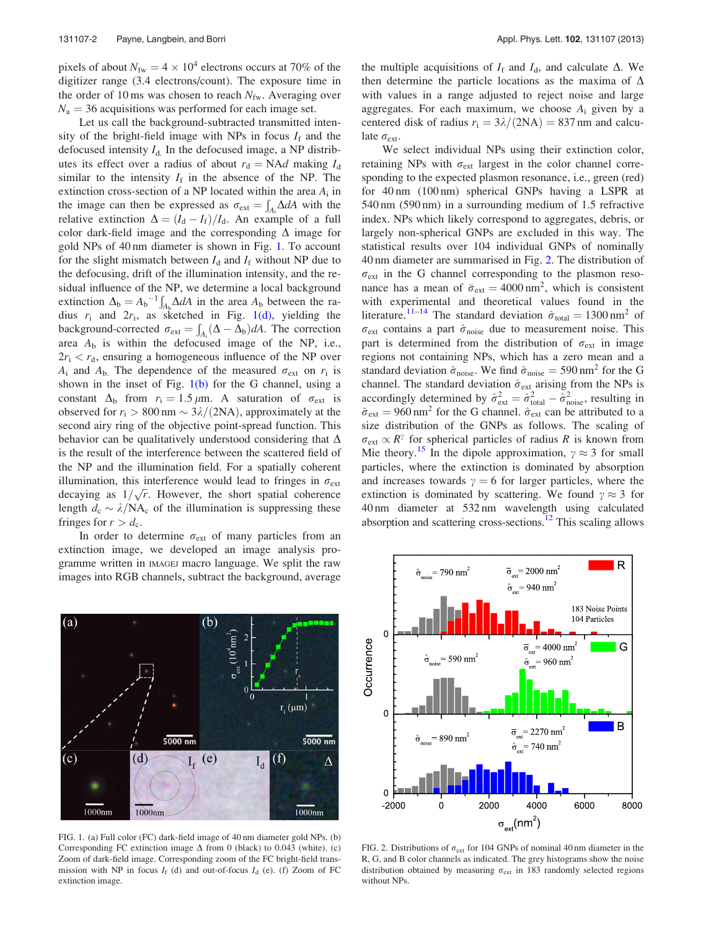<span id="page-2-0"></span>pixels of about  $N_{\text{fw}} = 4 \times 10^4$  electrons occurs at 70% of the digitizer range (3.4 electrons/count). The exposure time in the order of 10 ms was chosen to reach  $N_{\text{fw}}$ . Averaging over  $N_a = 36$  acquisitions was performed for each image set.

Let us call the background-subtracted transmitted intensity of the bright-field image with NPs in focus  $I_f$  and the defocused intensity  $I_{d}$ . In the defocused image, a NP distributes its effect over a radius of about  $r_d = N \Delta d$  making  $I_d$ similar to the intensity  $I_f$  in the absence of the NP. The extinction cross-section of a NP located within the area  $A_i$  in the image can then be expressed as  $\sigma_{ext} = \int_{A_i} \Delta dA$  with the relative extinction  $\Delta = (I_d - I_f)/I_d$ . An example of a full color dark-field image and the corresponding  $\Delta$  image for gold NPs of 40 nm diameter is shown in Fig. 1. To account for the slight mismatch between  $I_d$  and  $I_f$  without NP due to the defocusing, drift of the illumination intensity, and the residual influence of the NP, we determine a local background extinction  $\Delta_b = A_b^{-1}$  $A_b \Delta dA$  in the area  $A_b$  between the radius  $r_i$  and  $2r_i$ , as sketched in Fig. 1(d), yielding the background-corrected  $\sigma_{ext} = \int_{A_i} (\Delta - \Delta_b) dA$ . The correction area  $A_{\rm b}$  is within the defocused image of the NP, i.e.,  $2r_i < r_d$ , ensuring a homogeneous influence of the NP over  $A_i$  and  $A_b$ . The dependence of the measured  $\sigma_{ext}$  on  $r_i$  is shown in the inset of Fig.  $1(b)$  for the G channel, using a constant  $\Delta_{\rm b}$  from  $r_i = 1.5 \,\mu{\rm m}$ . A saturation of  $\sigma_{\rm ext}$  is observed for  $r_i > 800$  nm  $\sim 3\lambda/(2NA)$ , approximately at the second airy ring of the objective point-spread function. This behavior can be qualitatively understood considering that  $\Delta$ is the result of the interference between the scattered field of the NP and the illumination field. For a spatially coherent illumination, this interference would lead to fringes in  $\sigma_{ext}$ mumination, this interference would read to fingles in  $\sigma_{\text{ext}}$ <br>decaying as  $1/\sqrt{r}$ . However, the short spatial coherence length  $d_c \sim \lambda/NA_c$  of the illumination is suppressing these fringes for  $r > d_c$ .

In order to determine  $\sigma_{ext}$  of many particles from an extinction image, we developed an image analysis programme written in IMAGEJ macro language. We split the raw images into RGB channels, subtract the background, average



FIG. 1. (a) Full color (FC) dark-field image of 40 nm diameter gold NPs. (b) Corresponding FC extinction image  $\Delta$  from 0 (black) to 0.043 (white). (c) Zoom of dark-field image. Corresponding zoom of the FC bright-field transmission with NP in focus  $I_f$  (d) and out-of-focus  $I_d$  (e). (f) Zoom of FC extinction image.

the multiple acquisitions of  $I_f$  and  $I_d$ , and calculate  $\Delta$ . We then determine the particle locations as the maxima of  $\Delta$ with values in a range adjusted to reject noise and large aggregates. For each maximum, we choose  $A_i$  given by a centered disk of radius  $r_i = 3\lambda/(2NA) = 837$  nm and calculate  $\sigma_{ext}$ .

We select individual NPs using their extinction color, retaining NPs with  $\sigma_{ext}$  largest in the color channel corresponding to the expected plasmon resonance, i.e., green (red) for 40 nm (100 nm) spherical GNPs having a LSPR at 540 nm (590 nm) in a surrounding medium of 1.5 refractive index. NPs which likely correspond to aggregates, debris, or largely non-spherical GNPs are excluded in this way. The statistical results over 104 individual GNPs of nominally 40 nm diameter are summarised in Fig. 2. The distribution of  $\sigma_{\text{ext}}$  in the G channel corresponding to the plasmon resonance has a mean of  $\bar{\sigma}_{ext} = 4000 \text{ nm}^2$ , which is consistent with experimental and theoretical values found in the literature.<sup>[11–14](#page-4-0)</sup> The standard deviation  $\hat{\sigma}_{\text{total}} = 1300 \text{ nm}^2$  of  $\sigma_{\text{ext}}$  contains a part  $\hat{\sigma}_{\text{noise}}$  due to measurement noise. This part is determined from the distribution of  $\sigma_{ext}$  in image regions not containing NPs, which has a zero mean and a standard deviation  $\hat{\sigma}_{noise}$ . We find  $\hat{\sigma}_{noise} = 590 \text{ nm}^2$  for the G channel. The standard deviation  $\hat{\sigma}_{ext}$  arising from the NPs is accordingly determined by  $\hat{\sigma}_{ext}^2 = \hat{\sigma}_{total}^2 - \hat{\sigma}_{noise}^2$ , resulting in  $\hat{\sigma}_{ext} = 960$  nm<sup>2</sup> for the G channel.  $\hat{\sigma}_{ext}$  can be attributed to a size distribution of the GNPs as follows. The scaling of  $\sigma_{\text{ext}} \propto R^{\gamma}$  for spherical particles of radius R is known from Mie theory.<sup>[15](#page-4-0)</sup> In the dipole approximation,  $\gamma \approx 3$  for small particles, where the extinction is dominated by absorption and increases towards  $\gamma = 6$  for larger particles, where the extinction is dominated by scattering. We found  $\gamma \approx 3$  for 40 nm diameter at 532 nm wavelength using calculated absorption and scattering cross-sections.<sup>12</sup> This scaling allows



FIG. 2. Distributions of  $\sigma_{ext}$  for 104 GNPs of nominal 40 nm diameter in the R, G, and B color channels as indicated. The grey histograms show the noise distribution obtained by measuring  $\sigma_{ext}$  in 183 randomly selected regions without NPs.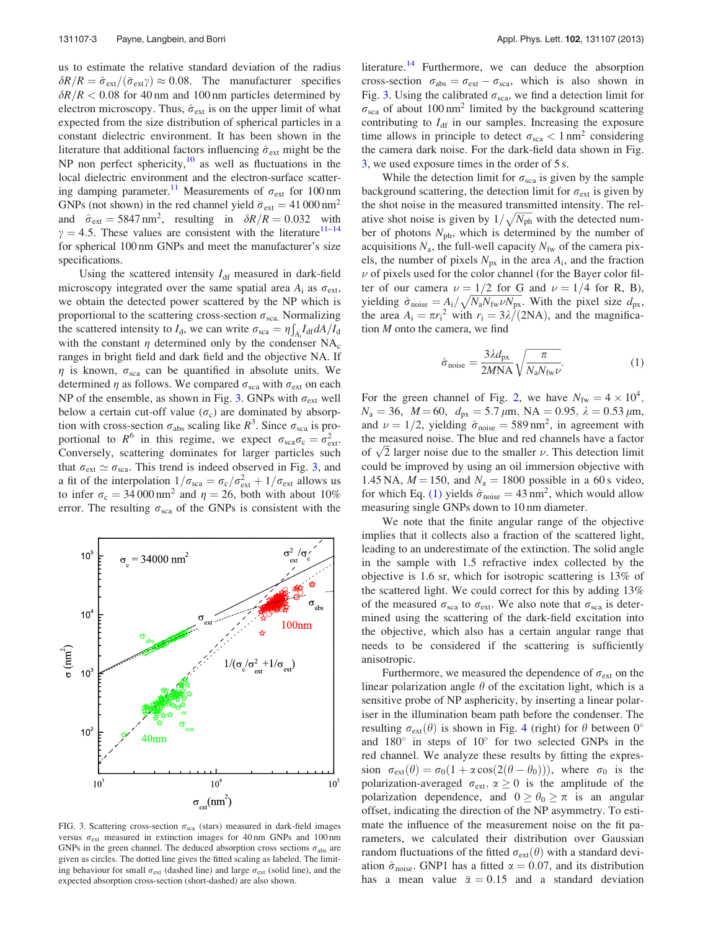us to estimate the relative standard deviation of the radius  $\delta R/R = \hat{\sigma}_{ext}/(\bar{\sigma}_{ext}\gamma) \approx 0.08$ . The manufacturer specifies  $\delta R/R < 0.08$  for 40 nm and 100 nm particles determined by electron microscopy. Thus,  $\hat{\sigma}_{ext}$  is on the upper limit of what expected from the size distribution of spherical particles in a constant dielectric environment. It has been shown in the literature that additional factors influencing  $\hat{\sigma}_{ext}$  might be the NP non perfect sphericity, $10$  as well as fluctuations in the local dielectric environment and the electron-surface scattering damping parameter.<sup>11</sup> Measurements of  $\sigma_{ext}$  for 100 nm GNPs (not shown) in the red channel yield  $\bar{\sigma}_{ext} = 41\,000\,\text{nm}^2$ and  $\hat{\sigma}_{ext} = 5847 \text{ nm}^2$ , resulting in  $\delta R/R = 0.032$  with  $\gamma = 4.5$ . These values are consistent with the literature<sup>[11–14](#page-4-0)</sup> for spherical 100 nm GNPs and meet the manufacturer's size specifications.

Using the scattered intensity  $I_{df}$  measured in dark-field microscopy integrated over the same spatial area  $A_i$  as  $\sigma_{ext}$ , we obtain the detected power scattered by the NP which is proportional to the scattering cross-section  $\sigma_{\text{sea}}$ . Normalizing<br>the sectional intensity to L, we can write  $\sigma_{\text{sea}}$ ,  $\mu_{\text{tot}}^f L \frac{dA}{dt}$ the scattered intensity to  $I_d$ , we can write  $\sigma_{\text{sca}} = \eta \int_{A_i} I_d \tau dA/I_d$ with the constant  $\eta$  determined only by the condenser NA<sub>c</sub> ranges in bright field and dark field and the objective NA. If  $\eta$  is known,  $\sigma_{\text{sea}}$  can be quantified in absolute units. We determined  $\eta$  as follows. We compared  $\sigma_{\text{sca}}$  with  $\sigma_{\text{ext}}$  on each NP of the ensemble, as shown in Fig. 3. GNPs with  $\sigma_{ext}$  well below a certain cut-off value  $(\sigma_c)$  are dominated by absorption with cross-section  $\sigma_{\text{abs}}$  scaling like  $R^3$ . Since  $\sigma_{\text{sea}}$  is proportional to  $R^6$  in this regime, we expect  $\sigma_{\text{sea}}\sigma_{\text{c}} = \sigma_{\text{ext}}^2$ . Conversely, scattering dominates for larger particles such that  $\sigma_{ext} \simeq \sigma_{sca}$ . This trend is indeed observed in Fig. 3, and a fit of the interpolation  $1/\sigma_{\text{sca}} = \sigma_c/\sigma_{\text{ext}}^2 + 1/\sigma_{\text{ext}}$  allows us to infer  $\sigma_c = 34000 \text{ nm}^2$  and  $\eta = 26$ , both with about 10% error. The resulting  $\sigma_{\text{sca}}$  of the GNPs is consistent with the



FIG. 3. Scattering cross-section  $\sigma_{sca}$  (stars) measured in dark-field images versus  $\sigma_{ext}$  measured in extinction images for 40 nm GNPs and 100 nm GNPs in the green channel. The deduced absorption cross sections  $\sigma_{\text{abs}}$  are given as circles. The dotted line gives the fitted scaling as labeled. The limiting behaviour for small  $\sigma_{ext}$  (dashed line) and large  $\sigma_{ext}$  (solid line), and the expected absorption cross-section (short-dashed) are also shown.

literature.<sup>[14](#page-4-0)</sup> Furthermore, we can deduce the absorption cross-section  $\sigma_{\text{abs}} = \sigma_{\text{ext}} - \sigma_{\text{sea}}$ , which is also shown in Fig. 3. Using the calibrated  $\sigma_{\text{sea}}$ , we find a detection limit for  $\sigma_{\rm sca}$  of about 100 nm<sup>2</sup> limited by the background scattering contributing to  $I_{df}$  in our samples. Increasing the exposure time allows in principle to detect  $\sigma_{\text{sca}} < 1 \text{ nm}^2$  considering the camera dark noise. For the dark-field data shown in Fig. 3, we used exposure times in the order of 5 s.

While the detection limit for  $\sigma_{\rm sca}$  is given by the sample background scattering, the detection limit for  $\sigma_{ext}$  is given by the shot noise in the measured transmitted intensity. The relative shot noise in the measured durinative intensity. The fer-<br>ative shot noise is given by  $1/\sqrt{N_{\text{ph}}}$  with the detected number of photons  $N_{\text{ph}}$ , which is determined by the number of acquisitions  $N_a$ , the full-well capacity  $N_{fw}$  of the camera pixels, the number of pixels  $N_{px}$  in the area  $A_i$ , and the fraction  $\nu$  of pixels used for the color channel (for the Bayer color filter of our camera  $\nu = 1/2$  for G and  $\nu = 1/4$  for R, B), yielding  $\hat{\sigma}_{\text{noise}} = A_i / \sqrt{N_a N_{\text{fw}} N_{\text{px}}}$ . With the pixel size  $d_{\text{px}}$ , the area  $A_i = \pi r_i^2$  with  $r_i = 3\lambda/(2NA)$ , and the magnification M onto the camera, we find

$$
\hat{\sigma}_{\text{noise}} = \frac{3\lambda d_{\text{px}}}{2M\text{NA}} \sqrt{\frac{\pi}{N_{\text{a}}N_{\text{fw}}L}}.
$$
\n(1)

For the green channel of Fig. [2](#page-2-0), we have  $N_{\text{fw}} = 4 \times 10^4$ ,  $N_a = 36$ ,  $M = 60$ ,  $d_{px} = 5.7 \,\mu \text{m}$ , NA  $= 0.95$ ,  $\lambda = 0.53 \,\mu \text{m}$ , and  $\nu = 1/2$ , yielding  $\hat{\sigma}_{noise} = 589 \text{ nm}^2$ , in agreement with the measured noise. The blue and red channels have a factor the measured noise. The blue and red channels have a factor of  $\sqrt{2}$  larger noise due to the smaller  $\nu$ . This detection limit could be improved by using an oil immersion objective with 1.45 NA,  $M = 150$ , and  $N_a = 1800$  possible in a 60 s video, for which Eq. (1) yields  $\hat{\sigma}_{noise} = 43 \text{ nm}^2$ , which would allow measuring single GNPs down to 10 nm diameter.

We note that the finite angular range of the objective implies that it collects also a fraction of the scattered light, leading to an underestimate of the extinction. The solid angle in the sample with 1.5 refractive index collected by the objective is 1.6 sr, which for isotropic scattering is 13% of the scattered light. We could correct for this by adding 13% of the measured  $\sigma_{\text{sca}}$  to  $\sigma_{\text{ext}}$ . We also note that  $\sigma_{\text{sca}}$  is determined using the scattering of the dark-field excitation into the objective, which also has a certain angular range that needs to be considered if the scattering is sufficiently anisotropic.

Furthermore, we measured the dependence of  $\sigma_{ext}$  on the linear polarization angle  $\theta$  of the excitation light, which is a sensitive probe of NP asphericity, by inserting a linear polariser in the illumination beam path before the condenser. The resulting  $\sigma_{ext}(\theta)$  is shown in Fig. [4](#page-4-0) (right) for  $\theta$  between 0° and  $180^\circ$  in steps of  $10^\circ$  for two selected GNPs in the red channel. We analyze these results by fitting the expression  $\sigma_{ext}(\theta) = \sigma_0(1 + \alpha \cos(2(\theta - \theta_0)))$ , where  $\sigma_0$  is the polarization-averaged  $\sigma_{ext}$ ,  $\alpha \ge 0$  is the amplitude of the polarization dependence, and  $0 \ge \theta_0 \ge \pi$  is an angular offset, indicating the direction of the NP asymmetry. To estimate the influence of the measurement noise on the fit parameters, we calculated their distribution over Gaussian random fluctuations of the fitted  $\sigma_{ext}(\theta)$  with a standard deviation  $\hat{\sigma}_{noise}$ . GNP1 has a fitted  $\alpha = 0.07$ , and its distribution has a mean value  $\bar{\alpha} = 0.15$  and a standard deviation